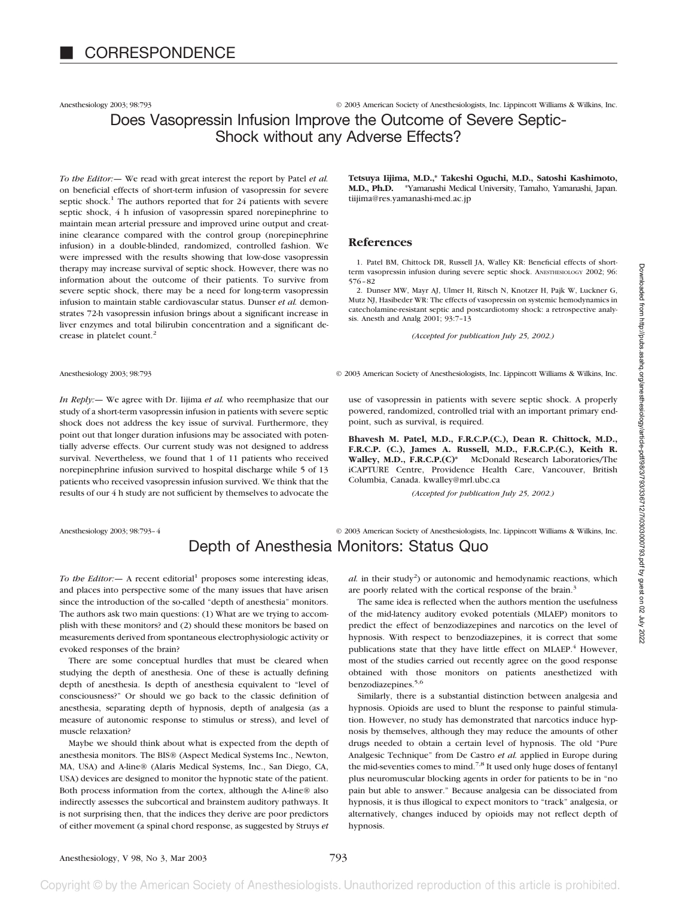Anesthesiology 2003; 98:793 **Canadian Society of Anesthesiologists**, Inc. Lippincott Williams & Wilkins, Inc.

### Does Vasopressin Infusion Improve the Outcome of Severe Septic-Shock without any Adverse Effects?

*To the Editor:—* We read with great interest the report by Patel *et al.* on beneficial effects of short-term infusion of vasopressin for severe septic shock.<sup>1</sup> The authors reported that for 24 patients with severe septic shock, 4 h infusion of vasopressin spared norepinephrine to maintain mean arterial pressure and improved urine output and creatinine clearance compared with the control group (norepinephrine infusion) in a double-blinded, randomized, controlled fashion. We were impressed with the results showing that low-dose vasopressin therapy may increase survival of septic shock. However, there was no information about the outcome of their patients. To survive from severe septic shock, there may be a need for long-term vasopressin infusion to maintain stable cardiovascular status. Dunser *et al.* demonstrates 72-h vasopressin infusion brings about a significant increase in liver enzymes and total bilirubin concentration and a significant decrease in platelet count.<sup>2</sup>

*In Reply:—* We agree with Dr. Iijima *et al.* who reemphasize that our study of a short-term vasopressin infusion in patients with severe septic shock does not address the key issue of survival. Furthermore, they point out that longer duration infusions may be associated with potentially adverse effects. Our current study was not designed to address survival. Nevertheless, we found that 1 of 11 patients who received norepinephrine infusion survived to hospital discharge while 5 of 13 patients who received vasopressin infusion survived. We think that the results of our 4 h study are not sufficient by themselves to advocate the

Anesthesiology 2003; 98:793-4 © 2003 American Society of Anesthesiologists, Inc. Lippincott Williams & Wilkins, Inc.

**Tetsuya Iijima, M.D.,\* Takeshi Oguchi, M.D., Satoshi Kashimoto, M.D., Ph.D.** \*Yamanashi Medical University, Tamaho, Yamanashi, Japan. tiijima@res.yamanashi-med.ac.jp

#### **References**

1. Patel BM, Chittock DR, Russell JA, Walley KR: Beneficial effects of shortterm vasopressin infusion during severe septic shock. ANESTHESIOLOGY 2002; 96: 576–82

2. Dunser MW, Mayr AJ, Ulmer H, Ritsch N, Knotzer H, Pajk W, Luckner G, Mutz NJ, Hasibeder WR: The effects of vasopressin on systemic hemodynamics in catecholamine-resistant septic and postcardiotomy shock: a retrospective analysis. Anesth and Analg 2001; 93:7–13

*(Accepted for publication July 25, 2002.)*

Anesthesiology 2003; 98:793 **Canadian Society of Anesthesiologists**, Inc. Lippincott Williams & Wilkins, Inc.

use of vasopressin in patients with severe septic shock. A properly powered, randomized, controlled trial with an important primary endpoint, such as survival, is required.

**Bhavesh M. Patel, M.D., F.R.C.P.(C.), Dean R. Chittock, M.D., F.R.C.P. (C.), James A. Russell, M.D., F.R.C.P.(C.), Keith R. Walley, M.D., F.R.C.P.(C)\*** McDonald Research Laboratories/The iCAPTURE Centre, Providence Health Care, Vancouver, British Columbia, Canada. kwalley@mrl.ubc.ca

*(Accepted for publication July 25, 2002.)*

# Depth of Anesthesia Monitors: Status Quo

*To the Editor:*  $-$  A recent editorial<sup>1</sup> proposes some interesting ideas, and places into perspective some of the many issues that have arisen since the introduction of the so-called "depth of anesthesia" monitors. The authors ask two main questions: (1) What are we trying to accomplish with these monitors? and (2) should these monitors be based on measurements derived from spontaneous electrophysiologic activity or evoked responses of the brain?

There are some conceptual hurdles that must be cleared when studying the depth of anesthesia. One of these is actually defining depth of anesthesia. Is depth of anesthesia equivalent to "level of consciousness?" Or should we go back to the classic definition of anesthesia, separating depth of hypnosis, depth of analgesia (as a measure of autonomic response to stimulus or stress), and level of muscle relaxation?

Maybe we should think about what is expected from the depth of anesthesia monitors. The BIS® (Aspect Medical Systems Inc., Newton, MA, USA) and A-line® (Alaris Medical Systems, Inc., San Diego, CA, USA) devices are designed to monitor the hypnotic state of the patient. Both process information from the cortex, although the A-line® also indirectly assesses the subcortical and brainstem auditory pathways. It is not surprising then, that the indices they derive are poor predictors of either movement (a spinal chord response, as suggested by Struys *et*

 $al.$  in their study<sup>2</sup>) or autonomic and hemodynamic reactions, which are poorly related with the cortical response of the brain.<sup>3</sup>

The same idea is reflected when the authors mention the usefulness of the mid-latency auditory evoked potentials (MLAEP) monitors to predict the effect of benzodiazepines and narcotics on the level of hypnosis. With respect to benzodiazepines, it is correct that some publications state that they have little effect on MLAEP.<sup>4</sup> However, most of the studies carried out recently agree on the good response obtained with those monitors on patients anesthetized with benzodiazepines.<sup>5,6</sup>

Similarly, there is a substantial distinction between analgesia and hypnosis. Opioids are used to blunt the response to painful stimulation. However, no study has demonstrated that narcotics induce hypnosis by themselves, although they may reduce the amounts of other drugs needed to obtain a certain level of hypnosis. The old "Pure Analgesic Technique" from De Castro *et al.* applied in Europe during the mid-seventies comes to mind.<sup>7,8</sup> It used only huge doses of fentanyl plus neuromuscular blocking agents in order for patients to be in "no pain but able to answer." Because analgesia can be dissociated from hypnosis, it is thus illogical to expect monitors to "track" analgesia, or alternatively, changes induced by opioids may not reflect depth of hypnosis.

Anesthesiology, V 98, No 3, Mar 2003 793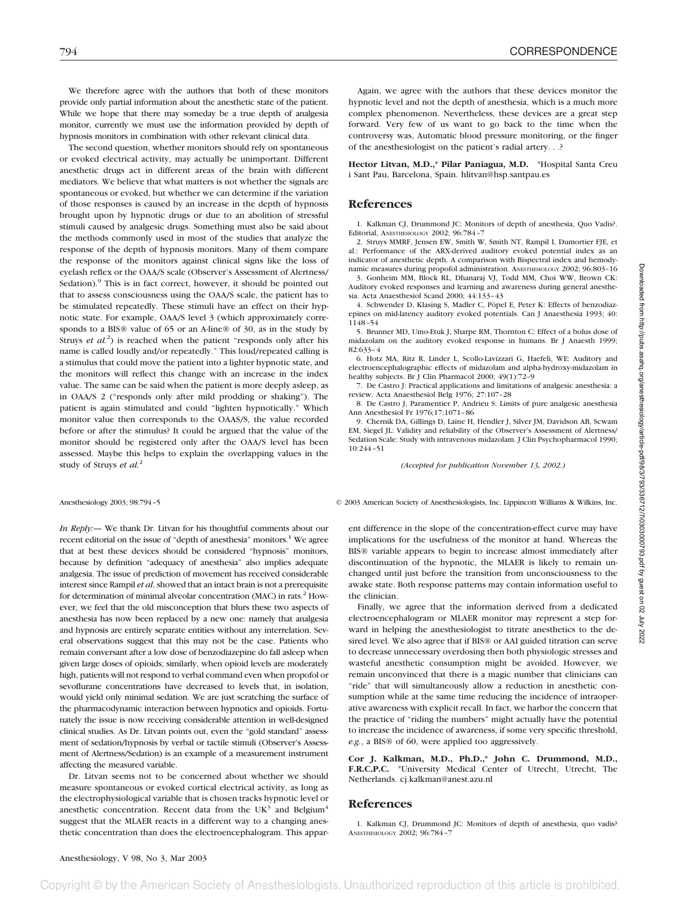We therefore agree with the authors that both of these monitors provide only partial information about the anesthetic state of the patient. While we hope that there may someday be a true depth of analgesia monitor, currently we must use the information provided by depth of hypnosis monitors in combination with other relevant clinical data.

The second question, whether monitors should rely on spontaneous or evoked electrical activity, may actually be unimportant. Different anesthetic drugs act in different areas of the brain with different mediators. We believe that what matters is not whether the signals are spontaneous or evoked, but whether we can determine if the variation of those responses is caused by an increase in the depth of hypnosis brought upon by hypnotic drugs or due to an abolition of stressful stimuli caused by analgesic drugs. Something must also be said about the methods commonly used in most of the studies that analyze the response of the depth of hypnosis monitors. Many of them compare the response of the monitors against clinical signs like the loss of eyelash reflex or the OAA/S scale (Observer's Assessment of Alertness/ Sedation).<sup>9</sup> This is in fact correct, however, it should be pointed out that to assess consciousness using the OAA/S scale, the patient has to be stimulated repeatedly. These stimuli have an effect on their hypnotic state. For example, OAA/S level 3 (which approximately corresponds to a BIS® value of 65 or an A-line® of 30, as in the study by Struys *et al.*<sup>2</sup>) is reached when the patient "responds only after his name is called loudly and/or repeatedly." This loud/repeated calling is a stimulus that could move the patient into a lighter hypnotic state, and the monitors will reflect this change with an increase in the index value. The same can be said when the patient is more deeply asleep, as in OAA/S 2 ("responds only after mild prodding or shaking"). The patient is again stimulated and could "lighten hypnotically." Which monitor value then corresponds to the OAAS/S, the value recorded before or after the stimulus? It could be argued that the value of the monitor should be registered only after the OAA/S level has been assessed. Maybe this helps to explain the overlapping values in the study of Struys *et al.*<sup>2</sup>

*In Reply:—* We thank Dr. Litvan for his thoughtful comments about our recent editorial on the issue of "depth of anesthesia" monitors.<sup>1</sup> We agree that at best these devices should be considered "hypnosis" monitors, because by definition "adequacy of anesthesia" also implies adequate analgesia. The issue of prediction of movement has received considerable interest since Rampil *et al*. showed that an intact brain is not a prerequisite for determination of minimal alveolar concentration (MAC) in rats.<sup>2</sup> However, we feel that the old misconception that blurs these two aspects of anesthesia has now been replaced by a new one: namely that analgesia and hypnosis are entirely separate entities without any interrelation. Several observations suggest that this may not be the case. Patients who remain conversant after a low dose of benzodiazepine do fall asleep when given large doses of opioids; similarly, when opioid levels are moderately high, patients will not respond to verbal command even when propofol or sevoflurane concentrations have decreased to levels that, in isolation, would yield only minimal sedation. We are just scratching the surface of the pharmacodynamic interaction between hypnotics and opioids. Fortunately the issue is now receiving considerable attention in well-designed clinical studies. As Dr. Litvan points out, even the "gold standard" assessment of sedation/hypnosis by verbal or tactile stimuli (Observer's Assessment of Alertness/Sedation) is an example of a measurement instrument affecting the measured variable.

Dr. Litvan seems not to be concerned about whether we should measure spontaneous or evoked cortical electrical activity, as long as the electrophysiological variable that is chosen tracks hypnotic level or anesthetic concentration. Recent data from the UK<sup>3</sup> and Belgium<sup>4</sup> suggest that the MLAER reacts in a different way to a changing anesthetic concentration than does the electroencephalogram. This appar-

Again, we agree with the authors that these devices monitor the hypnotic level and not the depth of anesthesia, which is a much more complex phenomenon. Nevertheless, these devices are a great step forward. Very few of us want to go back to the time when the controversy was, Automatic blood pressure monitoring, or the finger of the anesthesiologist on the patient's radial artery. . .?

**Hector Litvan, M.D.,\* Pilar Paniagua, M.D.** \*Hospital Santa Creu i Sant Pau, Barcelona, Spain. hlitvan@hsp.santpau.es

#### **References**

1. Kalkman CJ, Drummond JC: Monitors of depth of anesthesia, Quo Vadis?. Editorial, ANESTHESIOLOGY 2002; 96:784–7

2. Struys MMRF, Jensen EW, Smith W, Smith NT, Rampil I, Dumortier FJE, et al.: Performance of the ARX-derived auditory evoked potential index as an indicator of anesthetic depth. A comparison with Bispectral index and hemodynamic measures during propofol administration. ANESTHESIOLOGY 2002; 96:803–16

3. Gonheim MM, Block RL, Dhanaraj VJ, Todd MM, Choi WW, Brown CK: Auditory evoked responses and learning and awareness during general anesthesia. Acta Anaesthesiol Scand 2000; 44:133–43

4. Schwender D, Klasing S, Madler C, Pöpel E, Peter K: Effects of benzodiazepines on mid-latency auditory evoked potentials. Can J Anaesthesia 1993; 40: 1148–54

5. Brunner MD, Umo-Etuk J, Sharpe RM, Thornton C: Effect of a bolus dose of midazolam on the auditory evoked response in humans. Br J Anaesth 1999; 82:633–4

6. Hotz MA, Ritz R, Linder L, Scollo-Lavizzari G, Haefeli, WE: Auditory and electroencephalographic effects of midazolam and alpha-hydroxy-midazolam in healthy subjects. Br J Clin Pharmacol 2000; 49(1):72–9

7. De Castro J: Practical applications and limitations of analgesic anesthesia: a review. Acta Anaesthesiol Belg 1976; 27:107–28

8. De Castro J, Paramentier P, Andrieu S: Limits of pure analgesic anesthesia Ann Anesthesiol Fr 1976;17:1071–86

9. Chernik DA, Gillings D, Laine H, Hendler J, Silver JM, Davidson AB, Scwam EM, Siegel JL: Validity and reliability of the Observer's Assessment of Alertness/ Sedation Scale: Study with intravenous midazolam. J Clin Psychopharmacol 1990; 10:244–51

*(Accepted for publication November 13, 2002.)*

Anesthesiology 2003; 98:794–5 © 2003 American Society of Anesthesiologists, Inc. Lippincott Williams & Wilkins, Inc.

ent difference in the slope of the concentration-effect curve may have implications for the usefulness of the monitor at hand. Whereas the BIS® variable appears to begin to increase almost immediately after discontinuation of the hypnotic, the MLAER is likely to remain unchanged until just before the transition from unconsciousness to the awake state. Both response patterns may contain information useful to the clinician.

Finally, we agree that the information derived from a dedicated electroencephalogram or MLAER monitor may represent a step forward in helping the anesthesiologist to titrate anesthetics to the desired level. We also agree that if BIS® or AAI guided titration can serve to decrease unnecessary overdosing then both physiologic stresses and wasteful anesthetic consumption might be avoided. However, we remain unconvinced that there is a magic number that clinicians can "ride" that will simultaneously allow a reduction in anesthetic consumption while at the same time reducing the incidence of intraoperative awareness with explicit recall. In fact, we harbor the concern that the practice of "riding the numbers" might actually have the potential to increase the incidence of awareness, if some very specific threshold, *e.g.*, a BIS® of 60, were applied too aggressively.

**Cor J. Kalkman, M.D., Ph.D.,\* John C. Drummond, M.D., F.R.C.P.C.** \*University Medical Center of Utrecht, Utrecht, The Netherlands. cj.kalkman@anest.azu.nl

#### **References**

1. Kalkman CJ, Drummond JC: Monitors of depth of anesthesia, quo vadis? ANESTHESIOLOGY 2002; 96:784–7

Downloaded from http://pubs.asahq.org/anesthesiology/article-pdf/98/3/798712/70703000793.pdf by guest on 02 July 2022 Downloaded from http://pubs.asahq.org/anesthesiology/article-pdf/98/3/793/336712/7i0303000793.pdf by guest on 02 July 2022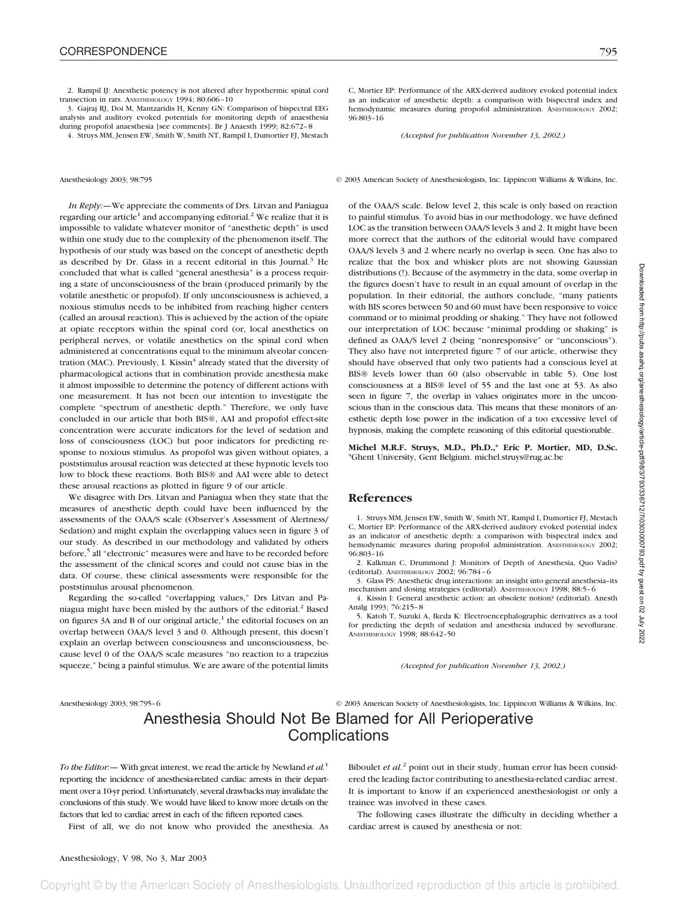2. Rampil IJ: Anesthetic potency is not altered after hypothermic spinal cord transection in rats. ANESTHESIOLOGY 1994; 80:606–10

3. Gajraj RJ, Doi M, Mantzaridis H, Kenny GN: Comparison of bispectral EEG analysis and auditory evoked potentials for monitoring depth of anaesthesia during propofol anaesthesia [see comments]. Br J Anaesth 1999; 82:672–8

4. Struys MM, Jensen EW, Smith W, Smith NT, Rampil I, Dumortier FJ, Mestach

*In Reply:—*We appreciate the comments of Drs. Litvan and Paniagua regarding our article<sup>1</sup> and accompanying editorial.<sup>2</sup> We realize that it is impossible to validate whatever monitor of "anesthetic depth" is used within one study due to the complexity of the phenomenon itself. The hypothesis of our study was based on the concept of anesthetic depth as described by Dr. Glass in a recent editorial in this Journal.<sup>3</sup> He concluded that what is called "general anesthesia" is a process requiring a state of unconsciousness of the brain (produced primarily by the volatile anesthetic or propofol). If only unconsciousness is achieved, a noxious stimulus needs to be inhibited from reaching higher centers (called an arousal reaction). This is achieved by the action of the opiate at opiate receptors within the spinal cord (or, local anesthetics on peripheral nerves, or volatile anesthetics on the spinal cord when administered at concentrations equal to the minimum alveolar concentration (MAC). Previously, I. Kissin<sup>4</sup> already stated that the diversity of pharmacological actions that in combination provide anesthesia make it almost impossible to determine the potency of different actions with one measurement. It has not been our intention to investigate the complete "spectrum of anesthetic depth." Therefore, we only have concluded in our article that both BIS®, AAI and propofol effect-site concentration were accurate indicators for the level of sedation and loss of consciousness (LOC) but poor indicators for predicting response to noxious stimulus. As propofol was given without opiates, a poststimulus arousal reaction was detected at these hypnotic levels too low to block these reactions. Both BIS® and AAI were able to detect these arousal reactions as plotted in figure 9 of our article.

We disagree with Drs. Litvan and Paniagua when they state that the measures of anesthetic depth could have been influenced by the assessments of the OAA/S scale (Observer's Assessment of Alertness/ Sedation) and might explain the overlapping values seen in figure 3 of our study. As described in our methodology and validated by others before,<sup>5</sup> all "electronic" measures were and have to be recorded before the assessment of the clinical scores and could not cause bias in the data. Of course, these clinical assessments were responsible for the poststimulus arousal phenomenon.

Regarding the so-called "overlapping values," Drs Litvan and Paniagua might have been misled by the authors of the editorial.<sup>2</sup> Based on figures  $3A$  and B of our original article,<sup>1</sup> the editorial focuses on an overlap between OAA/S level 3 and 0. Although present, this doesn't explain an overlap between consciousness and unconsciousness, because level 0 of the OAA/S scale measures "no reaction to a trapezius squeeze," being a painful stimulus. We are aware of the potential limits

C, Mortier EP: Performance of the ARX-derived auditory evoked potential index as an indicator of anesthetic depth: a comparison with bispectral index and hemodynamic measures during propofol administration. ANESTHESIOLOGY 2002; 96:803–16

*(Accepted for publication November 13, 2002.)*

Anesthesiology 2003; 98:795 © 2003 American Society of Anesthesiologists, Inc. Lippincott Williams & Wilkins, Inc.

of the OAA/S scale. Below level 2, this scale is only based on reaction to painful stimulus. To avoid bias in our methodology, we have defined LOC as the transition between OAA/S levels 3 and 2. It might have been more correct that the authors of the editorial would have compared OAA/S levels 3 and 2 where nearly no overlap is seen. One has also to realize that the box and whisker plots are not showing Gaussian distributions (!). Because of the asymmetry in the data, some overlap in the figures doesn't have to result in an equal amount of overlap in the population. In their editorial, the authors conclude, "many patients with BIS scores between 50 and 60 must have been responsive to voice command or to minimal prodding or shaking." They have not followed our interpretation of LOC because "minimal prodding or shaking" is defined as OAA/S level 2 (being "nonresponsive" or "unconscious"). They also have not interpreted figure 7 of our article, otherwise they should have observed that only two patients had a conscious level at BIS® levels lower than 60 (also observable in table 5). One lost consciousness at a BIS® level of 55 and the last one at 53. As also seen in figure 7, the overlap in values originates more in the unconscious than in the conscious data. This means that these monitors of anesthetic depth lose power in the indication of a too excessive level of hypnosis, making the complete reasoning of this editorial questionable.

**Michel M.R.F. Struys, M.D., Ph.D.,\* Eric P. Mortier, MD, D.Sc.** \*Ghent University, Gent Belgium. michel.struys@rug.ac.be

#### **References**

1. Struys MM, Jensen EW, Smith W, Smith NT, Rampil I, Dumortier FJ, Mestach C, Mortier EP: Performance of the ARX-derived auditory evoked potential index as an indicator of anesthetic depth: a comparison with bispectral index and hemodynamic measures during propofol administration. ANESTHESIOLOGY 2002; 96:803–16

2. Kalkman C, Drummond J: Monitors of Depth of Anesthesia, Quo Vadis? (editorial). ANESTHESIOLOGY 2002; 96:784–6

3. Glass PS: Anesthetic drug interactions: an insight into general anesthesia–its mechanism and dosing strategies (editorial). ANESTHESIOLOGY 1998; 88:5–6

4. Kissin I: General anesthetic action: an obsolete notion? (editorial). Anesth Analg 1993; 76:215–8

5. Katoh T, Suzuki A, Ikeda K: Electroencephalographic derivatives as a tool for predicting the depth of sedation and anesthesia induced by sevoflurane. ANESTHESIOLOGY 1998; 88:642–50

*(Accepted for publication November 13, 2002.)*

Anesthesiology 2003; 98:795–6 © 2003 American Society of Anesthesiologists, Inc. Lippincott Williams & Wilkins, Inc.

### Anesthesia Should Not Be Blamed for All Perioperative **Complications**

*To the Editor:—* With great interest, we read the article by Newland *et al.*<sup>1</sup> reporting the incidence of anesthesia-related cardiac arrests in their department over a 10-yr period. Unfortunately, several drawbacks may invalidate the conclusions of this study. We would have liked to know more details on the factors that led to cardiac arrest in each of the fifteen reported cases.

First of all, we do not know who provided the anesthesia. As

Biboulet *et al*. <sup>2</sup> point out in their study, human error has been considered the leading factor contributing to anesthesia-related cardiac arrest. It is important to know if an experienced anesthesiologist or only a trainee was involved in these cases.

The following cases illustrate the difficulty in deciding whether a cardiac arrest is caused by anesthesia or not: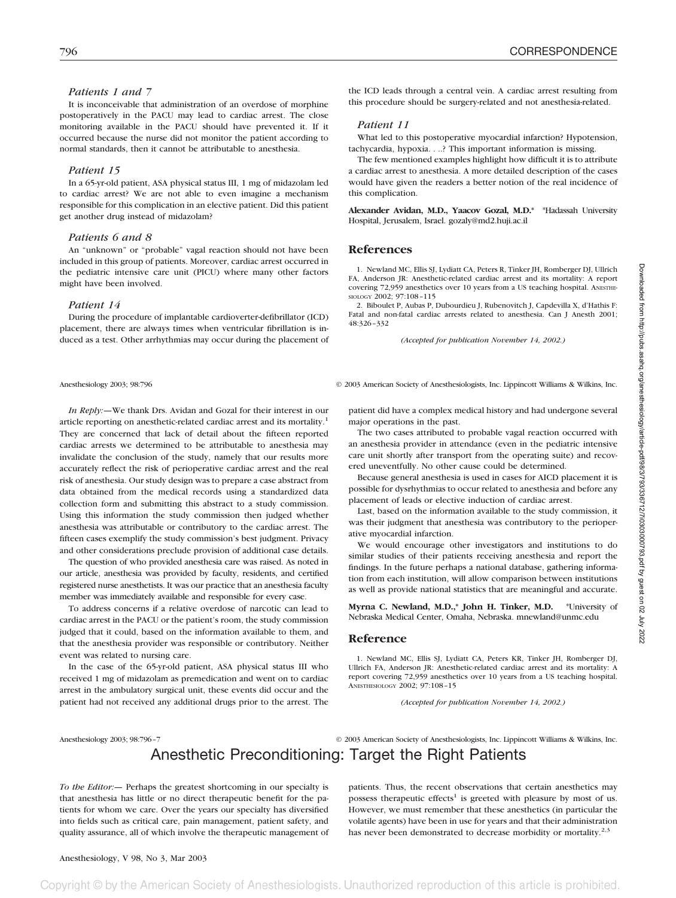### *Patients 1 and 7*

It is inconceivable that administration of an overdose of morphine postoperatively in the PACU may lead to cardiac arrest. The close monitoring available in the PACU should have prevented it. If it occurred because the nurse did not monitor the patient according to normal standards, then it cannot be attributable to anesthesia.

### *Patient 15*

In a 65-yr-old patient, ASA physical status III, 1 mg of midazolam led to cardiac arrest? We are not able to even imagine a mechanism responsible for this complication in an elective patient. Did this patient get another drug instead of midazolam?

### *Patients 6 and 8*

An "unknown" or "probable" vagal reaction should not have been included in this group of patients. Moreover, cardiac arrest occurred in the pediatric intensive care unit (PICU) where many other factors might have been involved.

#### *Patient 14*

During the procedure of implantable cardioverter-defibrillator (ICD) placement, there are always times when ventricular fibrillation is induced as a test. Other arrhythmias may occur during the placement of

the ICD leads through a central vein. A cardiac arrest resulting from this procedure should be surgery-related and not anesthesia-related.

#### *Patient 11*

What led to this postoperative myocardial infarction? Hypotension, tachycardia, hypoxia. . ..? This important information is missing.

The few mentioned examples highlight how difficult it is to attribute a cardiac arrest to anesthesia. A more detailed description of the cases would have given the readers a better notion of the real incidence of this complication.

**Alexander Avidan, M.D., Yaacov Gozal, M.D.\*** \*Hadassah University Hospital, Jerusalem, Israel. gozaly@md2.huji.ac.il

#### **References**

1. Newland MC, Ellis SJ, Lydiatt CA, Peters R, Tinker JH, Romberger DJ, Ullrich FA, Anderson JR: Anesthetic-related cardiac arrest and its mortality: A report covering 72,959 anesthetics over 10 years from a US teaching hospital. ANESTHE-SIOLOGY 2002; 97:108–115

2. Biboulet P, Aubas P, Dubourdieu J, Rubenovitch J, Capdevilla X, d'Hathis F: Fatal and non-fatal cardiac arrests related to anesthesia. Can J Anesth 2001; 48:326–332

*(Accepted for publication November 14, 2002.)*

Anesthesiology 2003; 98:796 © 2003 American Society of Anesthesiologists, Inc. Lippincott Williams & Wilkins, Inc.

*In Reply:—*We thank Drs. Avidan and Gozal for their interest in our article reporting on anesthetic-related cardiac arrest and its mortality.<sup>1</sup> They are concerned that lack of detail about the fifteen reported cardiac arrests we determined to be attributable to anesthesia may invalidate the conclusion of the study, namely that our results more accurately reflect the risk of perioperative cardiac arrest and the real risk of anesthesia. Our study design was to prepare a case abstract from data obtained from the medical records using a standardized data collection form and submitting this abstract to a study commission. Using this information the study commission then judged whether anesthesia was attributable or contributory to the cardiac arrest. The fifteen cases exemplify the study commission's best judgment. Privacy and other considerations preclude provision of additional case details.

The question of who provided anesthesia care was raised. As noted in our article, anesthesia was provided by faculty, residents, and certified registered nurse anesthetists. It was our practice that an anesthesia faculty member was immediately available and responsible for every case.

To address concerns if a relative overdose of narcotic can lead to cardiac arrest in the PACU or the patient's room, the study commission judged that it could, based on the information available to them, and that the anesthesia provider was responsible or contributory. Neither event was related to nursing care.

In the case of the 65-yr-old patient, ASA physical status III who received 1 mg of midazolam as premedication and went on to cardiac arrest in the ambulatory surgical unit, these events did occur and the patient had not received any additional drugs prior to the arrest. The patient did have a complex medical history and had undergone several major operations in the past.

The two cases attributed to probable vagal reaction occurred with an anesthesia provider in attendance (even in the pediatric intensive care unit shortly after transport from the operating suite) and recovered uneventfully. No other cause could be determined.

Because general anesthesia is used in cases for AICD placement it is possible for dysrhythmias to occur related to anesthesia and before any placement of leads or elective induction of cardiac arrest.

Last, based on the information available to the study commission, it was their judgment that anesthesia was contributory to the perioperative myocardial infarction.

We would encourage other investigators and institutions to do similar studies of their patients receiving anesthesia and report the findings. In the future perhaps a national database, gathering information from each institution, will allow comparison between institutions as well as provide national statistics that are meaningful and accurate.

**Myrna C. Newland, M.D.,\* John H. Tinker, M.D.** \*University of Nebraska Medical Center, Omaha, Nebraska. mnewland@unmc.edu

#### **Reference**

1. Newland MC, Ellis SJ, Lydiatt CA, Peters KR, Tinker JH, Romberger DJ, Ullrich FA, Anderson JR: Anesthetic-related cardiac arrest and its mortality: A report covering 72,959 anesthetics over 10 years from a US teaching hospital. ANESTHESIOLOGY 2002; 97:108–15

*(Accepted for publication November 14, 2002.)*

Anesthesiology 2003; 98:796–7 © 2003 American Society of Anesthesiologists, Inc. Lippincott Williams & Wilkins, Inc. Anesthetic Preconditioning: Target the Right Patients

*To the Editor:—* Perhaps the greatest shortcoming in our specialty is that anesthesia has little or no direct therapeutic benefit for the patients for whom we care. Over the years our specialty has diversified into fields such as critical care, pain management, patient safety, and quality assurance, all of which involve the therapeutic management of patients. Thus, the recent observations that certain anesthetics may possess therapeutic effects<sup>1</sup> is greeted with pleasure by most of us. However, we must remember that these anesthetics (in particular the volatile agents) have been in use for years and that their administration has never been demonstrated to decrease morbidity or mortality. $2.3$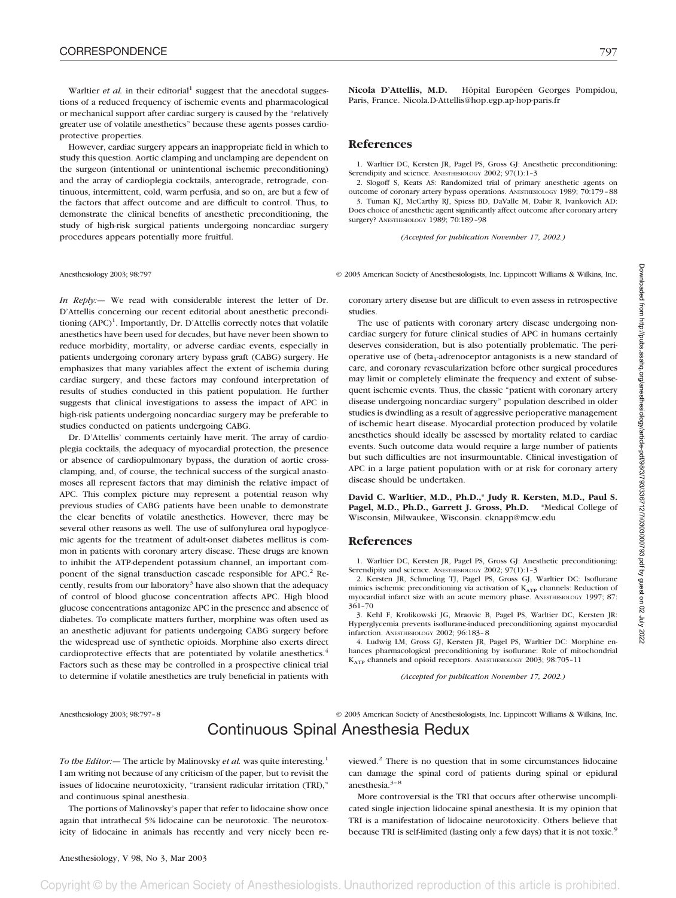Warltier *et al.* in their editorial<sup>1</sup> suggest that the anecdotal suggestions of a reduced frequency of ischemic events and pharmacological or mechanical support after cardiac surgery is caused by the "relatively greater use of volatile anesthetics" because these agents posses cardioprotective properties.

However, cardiac surgery appears an inappropriate field in which to study this question. Aortic clamping and unclamping are dependent on the surgeon (intentional or unintentional ischemic preconditioning) and the array of cardioplegia cocktails, anterograde, retrograde, continuous, intermittent, cold, warm perfusia, and so on, are but a few of the factors that affect outcome and are difficult to control. Thus, to demonstrate the clinical benefits of anesthetic preconditioning, the study of high-risk surgical patients undergoing noncardiac surgery procedures appears potentially more fruitful.

*In Reply:—* We read with considerable interest the letter of Dr. D'Attellis concerning our recent editorial about anesthetic preconditioning (APC)<sup>1</sup>. Importantly, Dr. D'Attellis correctly notes that volatile anesthetics have been used for decades, but have never been shown to reduce morbidity, mortality, or adverse cardiac events, especially in patients undergoing coronary artery bypass graft (CABG) surgery. He emphasizes that many variables affect the extent of ischemia during cardiac surgery, and these factors may confound interpretation of results of studies conducted in this patient population. He further suggests that clinical investigations to assess the impact of APC in high-risk patients undergoing noncardiac surgery may be preferable to studies conducted on patients undergoing CABG.

Dr. D'Attellis' comments certainly have merit. The array of cardioplegia cocktails, the adequacy of myocardial protection, the presence or absence of cardiopulmonary bypass, the duration of aortic crossclamping, and, of course, the technical success of the surgical anastomoses all represent factors that may diminish the relative impact of APC. This complex picture may represent a potential reason why previous studies of CABG patients have been unable to demonstrate the clear benefits of volatile anesthetics. However, there may be several other reasons as well. The use of sulfonylurea oral hypoglycemic agents for the treatment of adult-onset diabetes mellitus is common in patients with coronary artery disease. These drugs are known to inhibit the ATP-dependent potassium channel, an important component of the signal transduction cascade responsible for APC.<sup>2</sup> Recently, results from our laboratory<sup>3</sup> have also shown that the adequacy of control of blood glucose concentration affects APC. High blood glucose concentrations antagonize APC in the presence and absence of diabetes. To complicate matters further, morphine was often used as an anesthetic adjuvant for patients undergoing CABG surgery before the widespread use of synthetic opioids. Morphine also exerts direct cardioprotective effects that are potentiated by volatile anesthetics.<sup>4</sup> Factors such as these may be controlled in a prospective clinical trial to determine if volatile anesthetics are truly beneficial in patients with **Nicola D'Attellis, M.D.** Hôpital Européen Georges Pompidou, Paris, France. Nicola.D-Attellis@hop.egp.ap-hop-paris.fr

#### **References**

1. Warltier DC, Kersten JR, Pagel PS, Gross GJ: Anesthetic preconditioning: Serendipity and science. ANESTHESIOLOGY 2002; 97(1):1-3

2. Slogoff S, Keats AS: Randomized trial of primary anesthetic agents on outcome of coronary artery bypass operations. ANESTHESIOLOGY 1989; 70:179–88 3. Tuman KJ, McCarthy RJ, Spiess BD, DaValle M, Dabir R, Ivankovich AD: Does choice of anesthetic agent significantly affect outcome after coronary artery surgery? ANESTHESIOLOGY 1989; 70:189–98

*(Accepted for publication November 17, 2002.)*

Anesthesiology 2003; 98:797 © 2003 American Society of Anesthesiologists, Inc. Lippincott Williams & Wilkins, Inc.

coronary artery disease but are difficult to even assess in retrospective studies.

The use of patients with coronary artery disease undergoing noncardiac surgery for future clinical studies of APC in humans certainly deserves consideration, but is also potentially problematic. The perioperative use of (beta<sub>1</sub>-adrenoceptor antagonists is a new standard of care, and coronary revascularization before other surgical procedures may limit or completely eliminate the frequency and extent of subsequent ischemic events. Thus, the classic "patient with coronary artery disease undergoing noncardiac surgery" population described in older studies is dwindling as a result of aggressive perioperative management of ischemic heart disease. Myocardial protection produced by volatile anesthetics should ideally be assessed by mortality related to cardiac events. Such outcome data would require a large number of patients but such difficulties are not insurmountable. Clinical investigation of APC in a large patient population with or at risk for coronary artery disease should be undertaken.

**David C. Warltier, M.D., Ph.D.,\* Judy R. Kersten, M.D., Paul S. Pagel, M.D., Ph.D., Garrett J. Gross, Ph.D. \***Medical College of Wisconsin, Milwaukee, Wisconsin. cknapp@mcw.edu

#### **References**

1. Warltier DC, Kersten JR, Pagel PS, Gross GJ: Anesthetic preconditioning: Serendipity and science. ANESTHESIOLOGY 2002: 97(1):1-3

2. Kersten JR, Schmeling TJ, Pagel PS, Gross GJ, Warltier DC: Isoflurane mimics ischemic preconditioning via activation of K<sub>ATP</sub> channels: Reduction of myocardial infarct size with an acute memory phase. ANESTHESIOLOGY 1997; 87: 361–70

3. Kehl F, Krolikowski JG, Mraovic B, Pagel PS, Warltier DC, Kersten JR: Hyperglycemia prevents isoflurane-induced preconditioning against myocardial infarction. ANESTHESIOLOGY 2002; 96:183–8

4. Ludwig LM, Gross GJ, Kersten JR, Pagel PS, Warltier DC: Morphine enhances pharmacological preconditioning by isoflurane: Role of mitochondrial KATP channels and opioid receptors. ANESTHESIOLOGY 2003; 98:705–11

*(Accepted for publication November 17, 2002.)*

Anesthesiology 2003; 98:797–8 © 2003 American Society of Anesthesiologists, Inc. Lippincott Williams & Wilkins, Inc.

### Continuous Spinal Anesthesia Redux

*To the Editor:* - The article by Malinovsky *et al.* was quite interesting.<sup>1</sup> I am writing not because of any criticism of the paper, but to revisit the issues of lidocaine neurotoxicity, "transient radicular irritation (TRI)," and continuous spinal anesthesia.

The portions of Malinovsky's paper that refer to lidocaine show once again that intrathecal 5% lidocaine can be neurotoxic. The neurotoxicity of lidocaine in animals has recently and very nicely been reviewed.2 There is no question that in some circumstances lidocaine can damage the spinal cord of patients during spinal or epidural anesthesia.3–8

More controversial is the TRI that occurs after otherwise uncomplicated single injection lidocaine spinal anesthesia. It is my opinion that TRI is a manifestation of lidocaine neurotoxicity. Others believe that because TRI is self-limited (lasting only a few days) that it is not toxic.<sup>9</sup>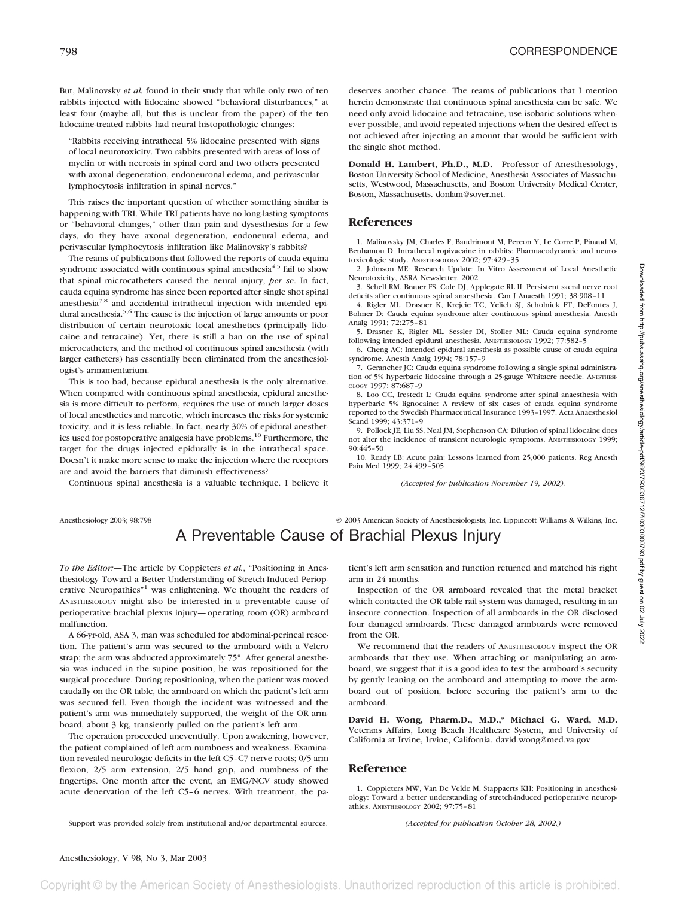But, Malinovsky *et al.* found in their study that while only two of ten rabbits injected with lidocaine showed "behavioral disturbances," at least four (maybe all, but this is unclear from the paper) of the ten lidocaine-treated rabbits had neural histopathologic changes:

"Rabbits receiving intrathecal 5% lidocaine presented with signs of local neurotoxicity. Two rabbits presented with areas of loss of myelin or with necrosis in spinal cord and two others presented with axonal degeneration, endoneuronal edema, and perivascular lymphocytosis infiltration in spinal nerves."

This raises the important question of whether something similar is happening with TRI. While TRI patients have no long-lasting symptoms or "behavioral changes," other than pain and dysesthesias for a few days, do they have axonal degeneration, endoneural edema, and perivascular lymphocytosis infiltration like Malinovsky's rabbits?

The reams of publications that followed the reports of cauda equina syndrome associated with continuous spinal anesthesia<sup>4,5</sup> fail to show that spinal microcatheters caused the neural injury, *per se*. In fact, cauda equina syndrome has since been reported after single shot spinal anesthesia<sup>7,8</sup> and accidental intrathecal injection with intended epidural anesthesia.<sup>5,6</sup> The cause is the injection of large amounts or poor distribution of certain neurotoxic local anesthetics (principally lidocaine and tetracaine). Yet, there is still a ban on the use of spinal microcatheters, and the method of continuous spinal anesthesia (with larger catheters) has essentially been eliminated from the anesthesiologist's armamentarium.

This is too bad, because epidural anesthesia is the only alternative. When compared with continuous spinal anesthesia, epidural anesthesia is more difficult to perform, requires the use of much larger doses of local anesthetics and narcotic, which increases the risks for systemic toxicity, and it is less reliable. In fact, nearly 30% of epidural anesthetics used for postoperative analgesia have problems.<sup>10</sup> Furthermore, the target for the drugs injected epidurally is in the intrathecal space. Doesn't it make more sense to make the injection where the receptors are and avoid the barriers that diminish effectiveness?

Continuous spinal anesthesia is a valuable technique. I believe it

deserves another chance. The reams of publications that I mention herein demonstrate that continuous spinal anesthesia can be safe. We need only avoid lidocaine and tetracaine, use isobaric solutions whenever possible, and avoid repeated injections when the desired effect is not achieved after injecting an amount that would be sufficient with the single shot method.

**Donald H. Lambert, Ph.D., M.D.** Professor of Anesthesiology, Boston University School of Medicine, Anesthesia Associates of Massachusetts, Westwood, Massachusetts, and Boston University Medical Center, Boston, Massachusetts. donlam@sover.net.

#### **References**

1. Malinovsky JM, Charles F, Baudrimont M, Pereon Y, Le Corre P, Pinaud M, Benhamou D: Intrathecal ropivacaine in rabbits: Pharmacodynamic and neurotoxicologic study. ANESTHESIOLOGY 2002; 97:429–35

2. Johnson ME: Research Update: In Vitro Assessment of Local Anesthetic Neurotoxicity, ASRA Newsletter, 2002

3. Schell RM, Brauer FS, Cole DJ, Applegate RL II: Persistent sacral nerve root deficits after continuous spinal anaesthesia. Can J Anaesth 1991; 38:908–11

4. Rigler ML, Drasner K, Krejcie TC, Yelich SJ, Scholnick FT, DeFontes J, Bohner D: Cauda equina syndrome after continuous spinal anesthesia. Anesth Analg 1991; 72:275–81

5. Drasner K, Rigler ML, Sessler DI, Stoller ML: Cauda equina syndrome following intended epidural anesthesia. ANESTHESIOLOGY 1992; 77:582–5

6. Cheng AC: Intended epidural anesthesia as possible cause of cauda equina syndrome. Anesth Analg 1994; 78:157–9

7. Gerancher JC: Cauda equina syndrome following a single spinal administration of 5% hyperbaric lidocaine through a 25-gauge Whitacre needle. ANESTHESI-OLOGY 1997; 87:687–9

8. Loo CC, Irestedt L: Cauda equina syndrome after spinal anaesthesia with hyperbaric 5% lignocaine: A review of six cases of cauda equina syndrome reported to the Swedish Pharmaceutical Insurance 1993–1997. Acta Anaesthesiol Scand 1999; 43:371–9

9. Pollock JE, Liu SS, Neal JM, Stephenson CA: Dilution of spinal lidocaine does not alter the incidence of transient neurologic symptoms. ANESTHESIOLOGY 1999; 90:445–50

10. Ready LB: Acute pain: Lessons learned from 25,000 patients. Reg Anesth Pain Med 1999; 24:499–505

*(Accepted for publication November 19, 2002).*

### Anesthesiology 2003; 98:798 © 2003 American Society of Anesthesiologists, Inc. Lippincott Williams & Wilkins, Inc. A Preventable Cause of Brachial Plexus Injury

*To the Editor:—*The article by Coppieters *et al.*, "Positioning in Anesthesiology Toward a Better Understanding of Stretch-Induced Perioperative Neuropathies"<sup>1</sup> was enlightening. We thought the readers of ANESTHESIOLOGY might also be interested in a preventable cause of perioperative brachial plexus injury—operating room (OR) armboard malfunction.

A 66-yr-old, ASA 3, man was scheduled for abdominal-perineal resection. The patient's arm was secured to the armboard with a Velcro strap; the arm was abducted approximately 75°. After general anesthesia was induced in the supine position, he was repositioned for the surgical procedure. During repositioning, when the patient was moved caudally on the OR table, the armboard on which the patient's left arm was secured fell. Even though the incident was witnessed and the patient's arm was immediately supported, the weight of the OR armboard, about 3 kg, transiently pulled on the patient's left arm.

The operation proceeded uneventfully. Upon awakening, however, the patient complained of left arm numbness and weakness. Examination revealed neurologic deficits in the left C5–C7 nerve roots; 0/5 arm flexion, 2/5 arm extension, 2/5 hand grip, and numbness of the fingertips. One month after the event, an EMG/NCV study showed acute denervation of the left C5–6 nerves. With treatment, the pa-

tient's left arm sensation and function returned and matched his right arm in 24 months.

Inspection of the OR armboard revealed that the metal bracket which contacted the OR table rail system was damaged, resulting in an insecure connection. Inspection of all armboards in the OR disclosed four damaged armboards. These damaged armboards were removed from the OR.

We recommend that the readers of ANESTHESIOLOGY inspect the OR armboards that they use. When attaching or manipulating an armboard, we suggest that it is a good idea to test the armboard's security by gently leaning on the armboard and attempting to move the armboard out of position, before securing the patient's arm to the armboard.

**David H. Wong, Pharm.D., M.D.,\* Michael G. Ward, M.D.** Veterans Affairs, Long Beach Healthcare System, and University of California at Irvine, Irvine, California. david.wong@med.va.gov

#### **Reference**

1. Coppieters MW, Van De Velde M, Stappaerts KH: Positioning in anesthesiology: Toward a better understanding of stretch-induced perioperative neuropathies. ANESTHESIOLOGY 2002; 97:75–81

Support was provided solely from institutional and/or departmental sources. *(Accepted for publication October 28, 2002.)*

Convright © by the American Society of Anesthesiologists. Unauthorized reproduction of this article is prohibited